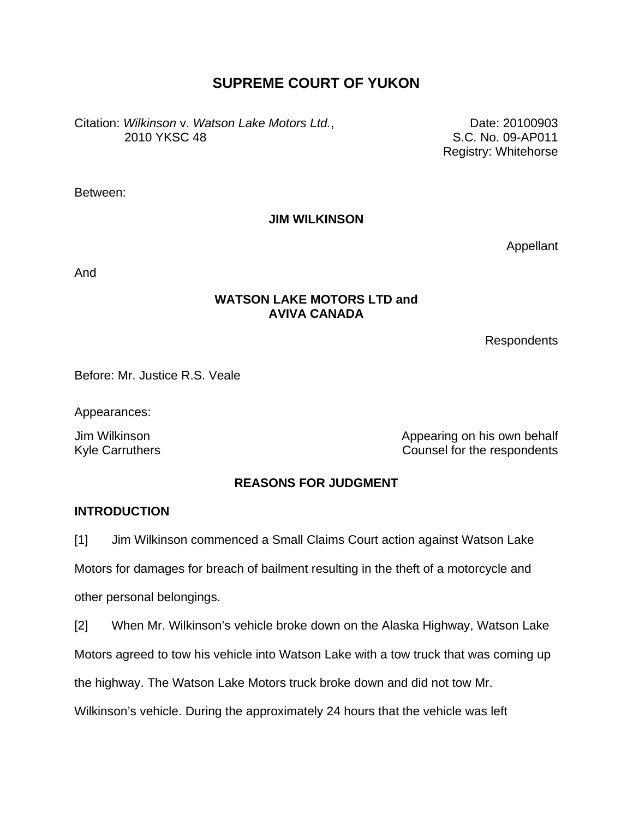# **SUPREME COURT OF YUKON**

Citation: *Wilkinson* v. *Watson Lake Motors Ltd.*, 2010 YKSC 48

Date: 20100903 S.C. No. 09-AP011 Registry: Whitehorse

Between:

**JIM WILKINSON** 

Appellant

And

## **WATSON LAKE MOTORS LTD and AVIVA CANADA**

Respondents

Before: Mr. Justice R.S. Veale

Appearances:

Jim Wilkinson Appearing on his own behalf Kyle Carruthers **Counsel for the respondents** 

## **REASONS FOR JUDGMENT**

## **INTRODUCTION**

[1] Jim Wilkinson commenced a Small Claims Court action against Watson Lake

Motors for damages for breach of bailment resulting in the theft of a motorcycle and other personal belongings.

[2] When Mr. Wilkinson's vehicle broke down on the Alaska Highway, Watson Lake

Motors agreed to tow his vehicle into Watson Lake with a tow truck that was coming up

the highway. The Watson Lake Motors truck broke down and did not tow Mr.

Wilkinson's vehicle. During the approximately 24 hours that the vehicle was left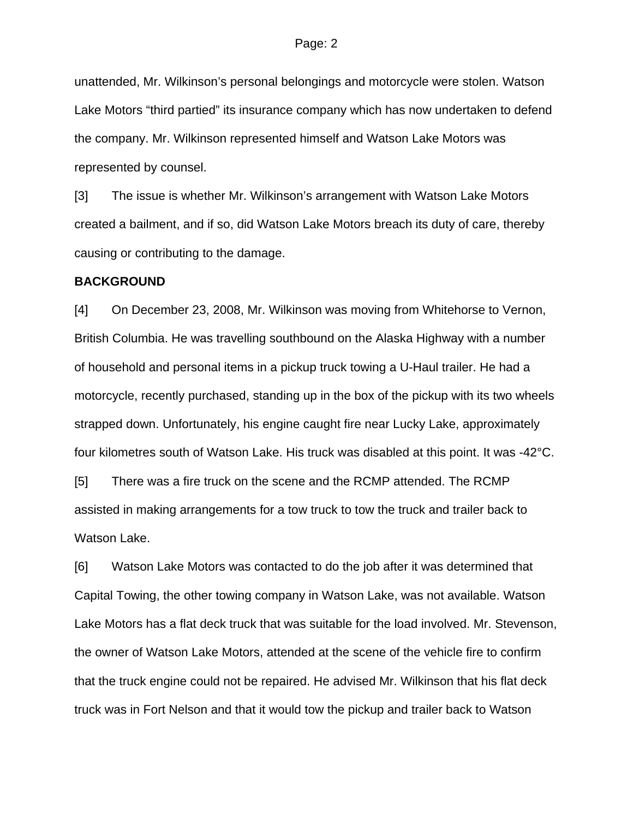unattended, Mr. Wilkinson's personal belongings and motorcycle were stolen. Watson Lake Motors "third partied" its insurance company which has now undertaken to defend the company. Mr. Wilkinson represented himself and Watson Lake Motors was represented by counsel.

[3] The issue is whether Mr. Wilkinson's arrangement with Watson Lake Motors created a bailment, and if so, did Watson Lake Motors breach its duty of care, thereby causing or contributing to the damage.

#### **BACKGROUND**

[4] On December 23, 2008, Mr. Wilkinson was moving from Whitehorse to Vernon, British Columbia. He was travelling southbound on the Alaska Highway with a number of household and personal items in a pickup truck towing a U-Haul trailer. He had a motorcycle, recently purchased, standing up in the box of the pickup with its two wheels strapped down. Unfortunately, his engine caught fire near Lucky Lake, approximately four kilometres south of Watson Lake. His truck was disabled at this point. It was -42°C.

[5] There was a fire truck on the scene and the RCMP attended. The RCMP assisted in making arrangements for a tow truck to tow the truck and trailer back to Watson Lake.

[6] Watson Lake Motors was contacted to do the job after it was determined that Capital Towing, the other towing company in Watson Lake, was not available. Watson Lake Motors has a flat deck truck that was suitable for the load involved. Mr. Stevenson, the owner of Watson Lake Motors, attended at the scene of the vehicle fire to confirm that the truck engine could not be repaired. He advised Mr. Wilkinson that his flat deck truck was in Fort Nelson and that it would tow the pickup and trailer back to Watson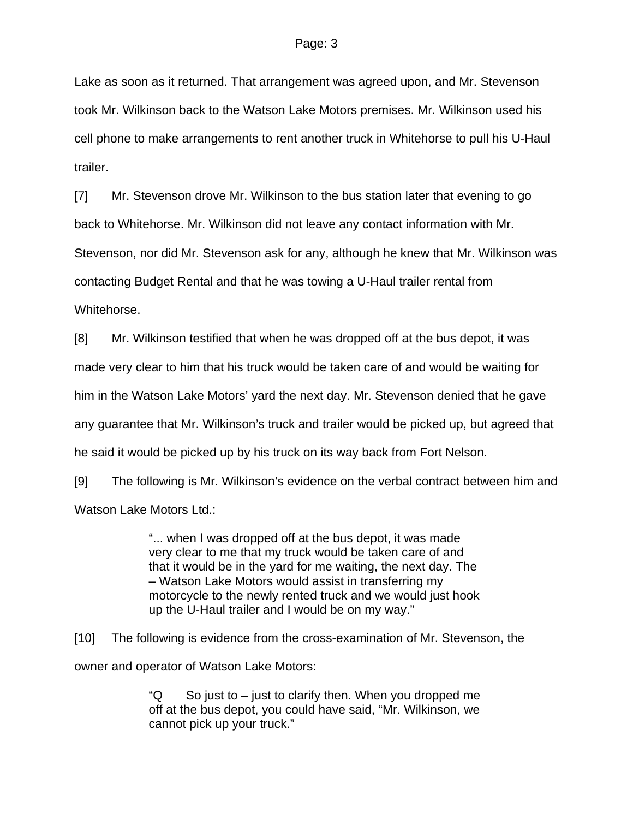#### Page: 3

Lake as soon as it returned. That arrangement was agreed upon, and Mr. Stevenson took Mr. Wilkinson back to the Watson Lake Motors premises. Mr. Wilkinson used his cell phone to make arrangements to rent another truck in Whitehorse to pull his U-Haul trailer.

[7] Mr. Stevenson drove Mr. Wilkinson to the bus station later that evening to go back to Whitehorse. Mr. Wilkinson did not leave any contact information with Mr. Stevenson, nor did Mr. Stevenson ask for any, although he knew that Mr. Wilkinson was contacting Budget Rental and that he was towing a U-Haul trailer rental from Whitehorse.

[8] Mr. Wilkinson testified that when he was dropped off at the bus depot, it was made very clear to him that his truck would be taken care of and would be waiting for him in the Watson Lake Motors' yard the next day. Mr. Stevenson denied that he gave any guarantee that Mr. Wilkinson's truck and trailer would be picked up, but agreed that he said it would be picked up by his truck on its way back from Fort Nelson.

[9] The following is Mr. Wilkinson's evidence on the verbal contract between him and Watson Lake Motors Ltd.:

> "... when I was dropped off at the bus depot, it was made very clear to me that my truck would be taken care of and that it would be in the yard for me waiting, the next day. The – Watson Lake Motors would assist in transferring my motorcycle to the newly rented truck and we would just hook up the U-Haul trailer and I would be on my way."

[10] The following is evidence from the cross-examination of Mr. Stevenson, the owner and operator of Watson Lake Motors:

> " $\mathsf Q$  So just to – just to clarify then. When you dropped me off at the bus depot, you could have said, "Mr. Wilkinson, we cannot pick up your truck."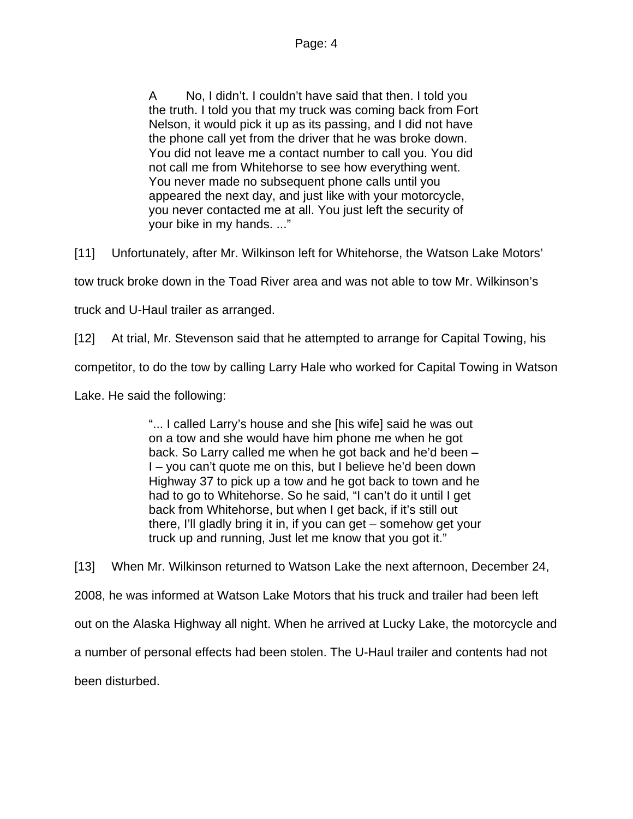A No, I didn't. I couldn't have said that then. I told you the truth. I told you that my truck was coming back from Fort Nelson, it would pick it up as its passing, and I did not have the phone call yet from the driver that he was broke down. You did not leave me a contact number to call you. You did not call me from Whitehorse to see how everything went. You never made no subsequent phone calls until you appeared the next day, and just like with your motorcycle, you never contacted me at all. You just left the security of your bike in my hands. ..."

[11] Unfortunately, after Mr. Wilkinson left for Whitehorse, the Watson Lake Motors'

tow truck broke down in the Toad River area and was not able to tow Mr. Wilkinson's

truck and U-Haul trailer as arranged.

[12] At trial, Mr. Stevenson said that he attempted to arrange for Capital Towing, his

competitor, to do the tow by calling Larry Hale who worked for Capital Towing in Watson

Lake. He said the following:

"... I called Larry's house and she [his wife] said he was out on a tow and she would have him phone me when he got back. So Larry called me when he got back and he'd been – I – you can't quote me on this, but I believe he'd been down Highway 37 to pick up a tow and he got back to town and he had to go to Whitehorse. So he said, "I can't do it until I get back from Whitehorse, but when I get back, if it's still out there, I'll gladly bring it in, if you can get – somehow get your truck up and running, Just let me know that you got it."

[13] When Mr. Wilkinson returned to Watson Lake the next afternoon, December 24, 2008, he was informed at Watson Lake Motors that his truck and trailer had been left out on the Alaska Highway all night. When he arrived at Lucky Lake, the motorcycle and a number of personal effects had been stolen. The U-Haul trailer and contents had not been disturbed.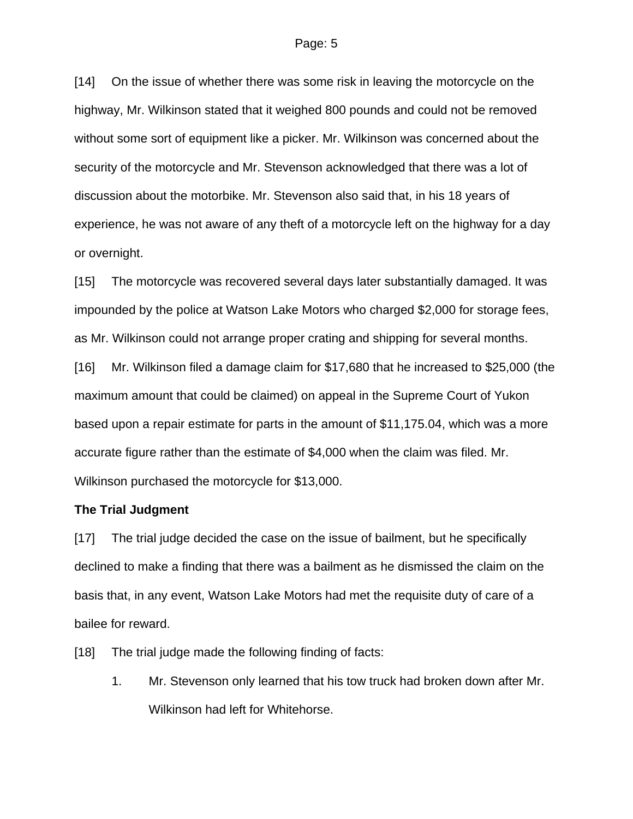[14] On the issue of whether there was some risk in leaving the motorcycle on the highway, Mr. Wilkinson stated that it weighed 800 pounds and could not be removed without some sort of equipment like a picker. Mr. Wilkinson was concerned about the security of the motorcycle and Mr. Stevenson acknowledged that there was a lot of discussion about the motorbike. Mr. Stevenson also said that, in his 18 years of experience, he was not aware of any theft of a motorcycle left on the highway for a day or overnight.

[15] The motorcycle was recovered several days later substantially damaged. It was impounded by the police at Watson Lake Motors who charged \$2,000 for storage fees, as Mr. Wilkinson could not arrange proper crating and shipping for several months.

[16] Mr. Wilkinson filed a damage claim for \$17,680 that he increased to \$25,000 (the maximum amount that could be claimed) on appeal in the Supreme Court of Yukon based upon a repair estimate for parts in the amount of \$11,175.04, which was a more accurate figure rather than the estimate of \$4,000 when the claim was filed. Mr. Wilkinson purchased the motorcycle for \$13,000.

### **The Trial Judgment**

[17] The trial judge decided the case on the issue of bailment, but he specifically declined to make a finding that there was a bailment as he dismissed the claim on the basis that, in any event, Watson Lake Motors had met the requisite duty of care of a bailee for reward.

[18] The trial judge made the following finding of facts:

1. Mr. Stevenson only learned that his tow truck had broken down after Mr. Wilkinson had left for Whitehorse.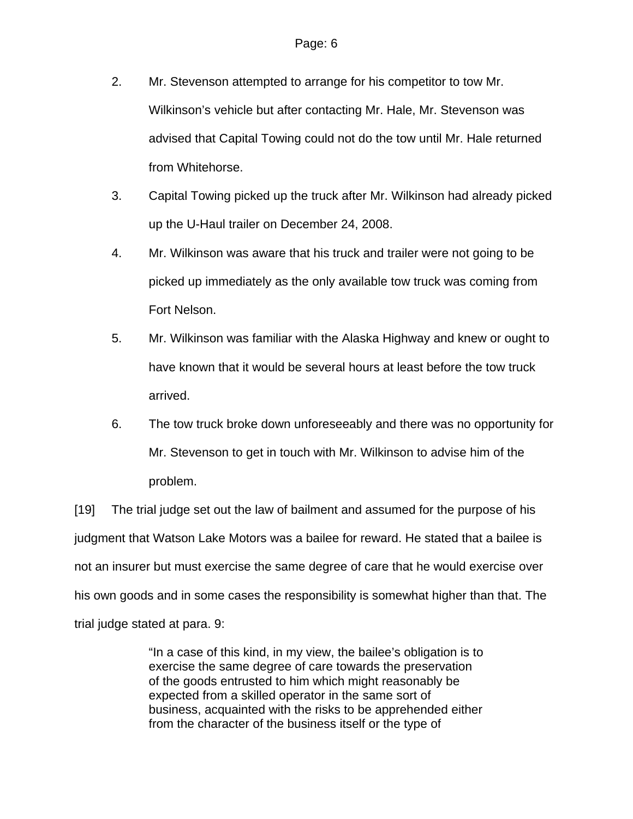- 2. Mr. Stevenson attempted to arrange for his competitor to tow Mr. Wilkinson's vehicle but after contacting Mr. Hale, Mr. Stevenson was advised that Capital Towing could not do the tow until Mr. Hale returned from Whitehorse.
- 3. Capital Towing picked up the truck after Mr. Wilkinson had already picked up the U-Haul trailer on December 24, 2008.
- 4. Mr. Wilkinson was aware that his truck and trailer were not going to be picked up immediately as the only available tow truck was coming from Fort Nelson.
- 5. Mr. Wilkinson was familiar with the Alaska Highway and knew or ought to have known that it would be several hours at least before the tow truck arrived.
- 6. The tow truck broke down unforeseeably and there was no opportunity for Mr. Stevenson to get in touch with Mr. Wilkinson to advise him of the problem.

[19] The trial judge set out the law of bailment and assumed for the purpose of his judgment that Watson Lake Motors was a bailee for reward. He stated that a bailee is not an insurer but must exercise the same degree of care that he would exercise over his own goods and in some cases the responsibility is somewhat higher than that. The trial judge stated at para. 9:

> "In a case of this kind, in my view, the bailee's obligation is to exercise the same degree of care towards the preservation of the goods entrusted to him which might reasonably be expected from a skilled operator in the same sort of business, acquainted with the risks to be apprehended either from the character of the business itself or the type of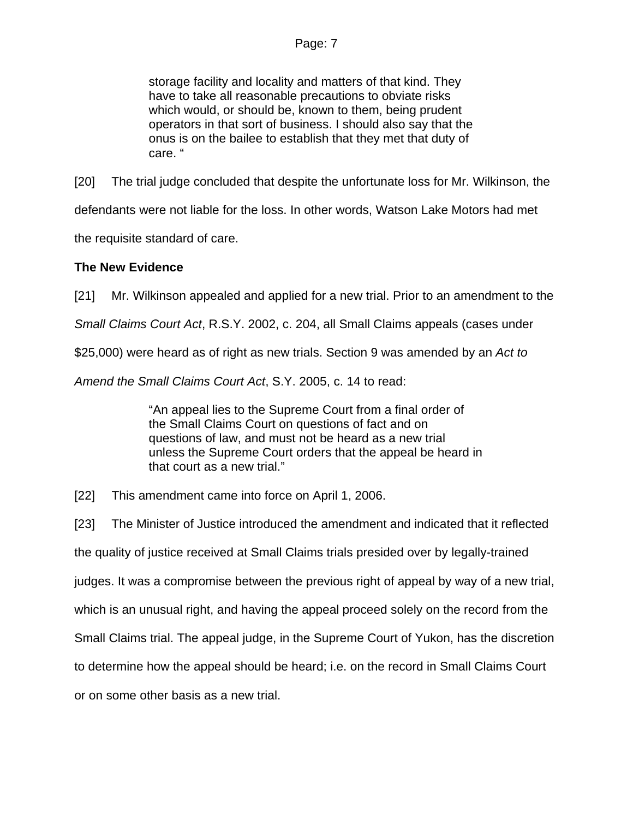storage facility and locality and matters of that kind. They have to take all reasonable precautions to obviate risks which would, or should be, known to them, being prudent operators in that sort of business. I should also say that the onus is on the bailee to establish that they met that duty of care. "

[20] The trial judge concluded that despite the unfortunate loss for Mr. Wilkinson, the defendants were not liable for the loss. In other words, Watson Lake Motors had met

the requisite standard of care.

## **The New Evidence**

[21] Mr. Wilkinson appealed and applied for a new trial. Prior to an amendment to the

*Small Claims Court Act*, R.S.Y. 2002, c. 204, all Small Claims appeals (cases under

\$25,000) were heard as of right as new trials. Section 9 was amended by an *Act to* 

*Amend the Small Claims Court Act*, S.Y. 2005, c. 14 to read:

"An appeal lies to the Supreme Court from a final order of the Small Claims Court on questions of fact and on questions of law, and must not be heard as a new trial unless the Supreme Court orders that the appeal be heard in that court as a new trial."

[22] This amendment came into force on April 1, 2006.

[23] The Minister of Justice introduced the amendment and indicated that it reflected the quality of justice received at Small Claims trials presided over by legally-trained judges. It was a compromise between the previous right of appeal by way of a new trial, which is an unusual right, and having the appeal proceed solely on the record from the Small Claims trial. The appeal judge, in the Supreme Court of Yukon, has the discretion to determine how the appeal should be heard; i.e. on the record in Small Claims Court or on some other basis as a new trial.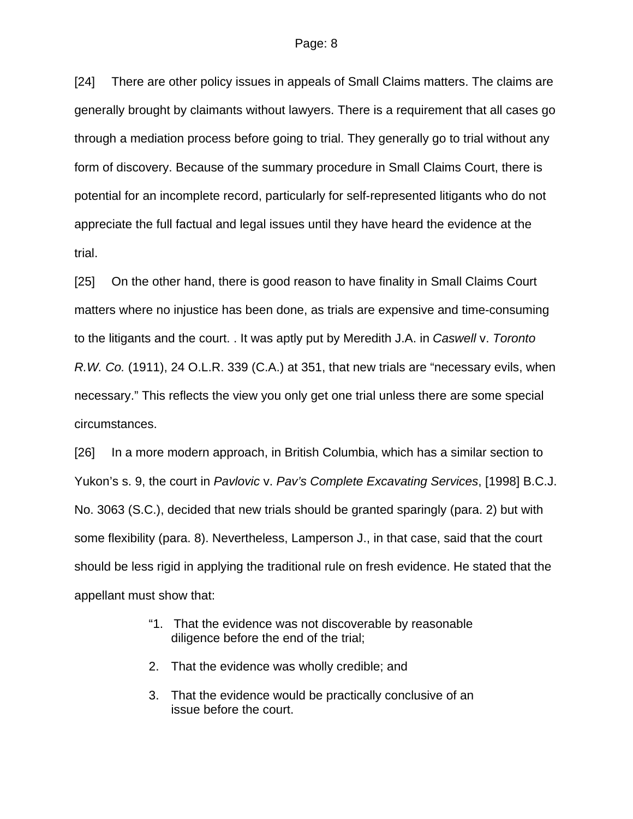[24] There are other policy issues in appeals of Small Claims matters. The claims are generally brought by claimants without lawyers. There is a requirement that all cases go through a mediation process before going to trial. They generally go to trial without any form of discovery. Because of the summary procedure in Small Claims Court, there is potential for an incomplete record, particularly for self-represented litigants who do not appreciate the full factual and legal issues until they have heard the evidence at the trial.

[25] On the other hand, there is good reason to have finality in Small Claims Court matters where no injustice has been done, as trials are expensive and time-consuming to the litigants and the court. . It was aptly put by Meredith J.A. in *Caswell* v. *Toronto R.W. Co.* (1911), 24 O.L.R. 339 (C.A.) at 351, that new trials are "necessary evils, when necessary." This reflects the view you only get one trial unless there are some special circumstances.

[26] In a more modern approach, in British Columbia, which has a similar section to Yukon's s. 9, the court in *Pavlovic* v. *Pav's Complete Excavating Services*, [1998] B.C.J. No. 3063 (S.C.), decided that new trials should be granted sparingly (para. 2) but with some flexibility (para. 8). Nevertheless, Lamperson J., in that case, said that the court should be less rigid in applying the traditional rule on fresh evidence. He stated that the appellant must show that:

- "1. That the evidence was not discoverable by reasonable diligence before the end of the trial;
- 2. That the evidence was wholly credible; and
- 3. That the evidence would be practically conclusive of an issue before the court.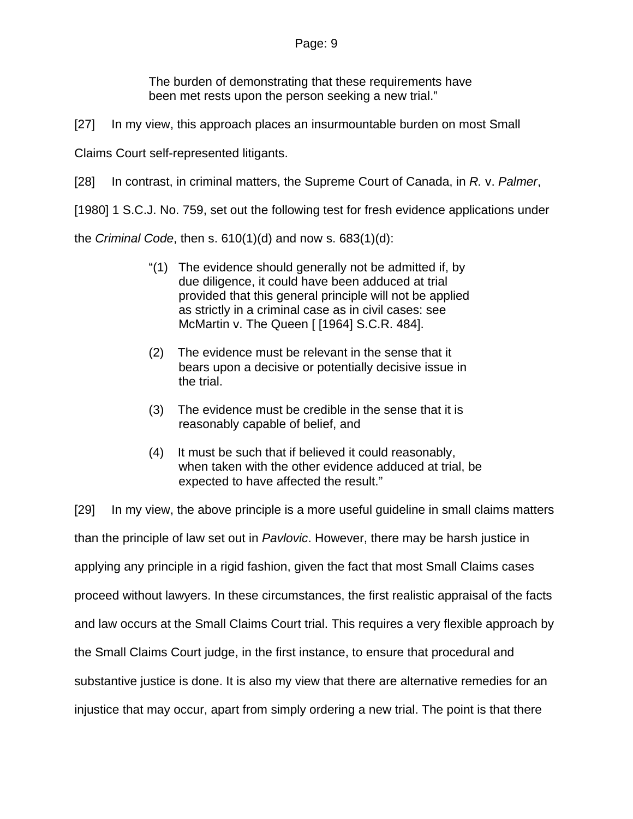The burden of demonstrating that these requirements have been met rests upon the person seeking a new trial."

[27] In my view, this approach places an insurmountable burden on most Small

Claims Court self-represented litigants.

[28] In contrast, in criminal matters, the Supreme Court of Canada, in *R.* v. *Palmer*,

[1980] 1 S.C.J. No. 759, set out the following test for fresh evidence applications under

the *Criminal Code*, then s. 610(1)(d) and now s. 683(1)(d):

- "(1) The evidence should generally not be admitted if, by due diligence, it could have been adduced at trial provided that this general principle will not be applied as strictly in a criminal case as in civil cases: see McMartin v. The Queen [ [\[1964\] S.C.R. 484\]](http://www.lexisnexis.com/ca/legal/search/runRemoteLink.do?langcountry=CA&linkInfo=F%23CA%23SCR%23year%251964%25page%25484%25sel1%251964%25&risb=21_T9250522082&bct=A&service=citation&A=0.9776457674988208).
- (2) The evidence must be relevant in the sense that it bears upon a decisive or potentially decisive issue in the trial.
- (3) The evidence must be credible in the sense that it is reasonably capable of belief, and
- (4) It must be such that if believed it could reasonably, when taken with the other evidence adduced at trial, be expected to have affected the result."

[29] In my view, the above principle is a more useful guideline in small claims matters than the principle of law set out in *Pavlovic*. However, there may be harsh justice in applying any principle in a rigid fashion, given the fact that most Small Claims cases proceed without lawyers. In these circumstances, the first realistic appraisal of the facts and law occurs at the Small Claims Court trial. This requires a very flexible approach by the Small Claims Court judge, in the first instance, to ensure that procedural and substantive justice is done. It is also my view that there are alternative remedies for an injustice that may occur, apart from simply ordering a new trial. The point is that there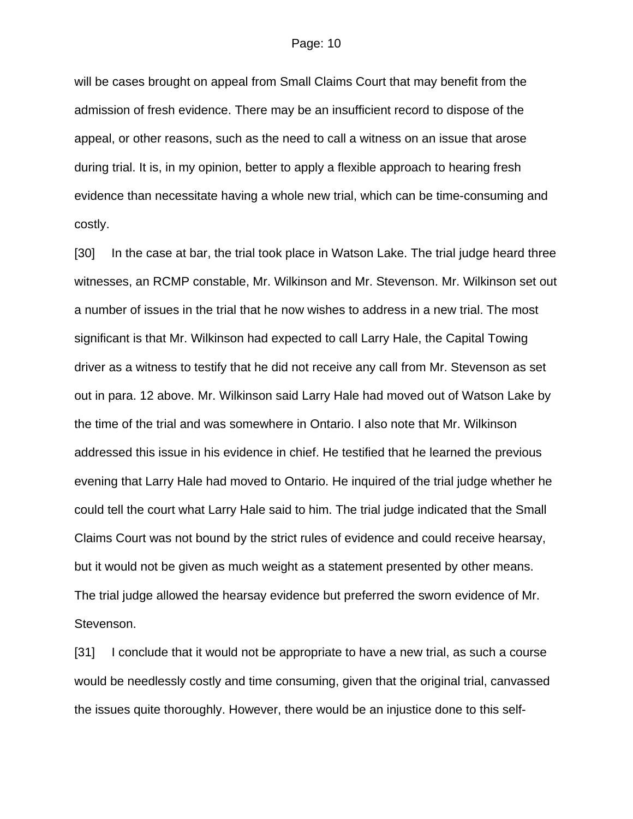#### Page: 10

will be cases brought on appeal from Small Claims Court that may benefit from the admission of fresh evidence. There may be an insufficient record to dispose of the appeal, or other reasons, such as the need to call a witness on an issue that arose during trial. It is, in my opinion, better to apply a flexible approach to hearing fresh evidence than necessitate having a whole new trial, which can be time-consuming and costly.

[30] In the case at bar, the trial took place in Watson Lake. The trial judge heard three witnesses, an RCMP constable, Mr. Wilkinson and Mr. Stevenson. Mr. Wilkinson set out a number of issues in the trial that he now wishes to address in a new trial. The most significant is that Mr. Wilkinson had expected to call Larry Hale, the Capital Towing driver as a witness to testify that he did not receive any call from Mr. Stevenson as set out in para. 12 above. Mr. Wilkinson said Larry Hale had moved out of Watson Lake by the time of the trial and was somewhere in Ontario. I also note that Mr. Wilkinson addressed this issue in his evidence in chief. He testified that he learned the previous evening that Larry Hale had moved to Ontario. He inquired of the trial judge whether he could tell the court what Larry Hale said to him. The trial judge indicated that the Small Claims Court was not bound by the strict rules of evidence and could receive hearsay, but it would not be given as much weight as a statement presented by other means. The trial judge allowed the hearsay evidence but preferred the sworn evidence of Mr. Stevenson.

[31] I conclude that it would not be appropriate to have a new trial, as such a course would be needlessly costly and time consuming, given that the original trial, canvassed the issues quite thoroughly. However, there would be an injustice done to this self-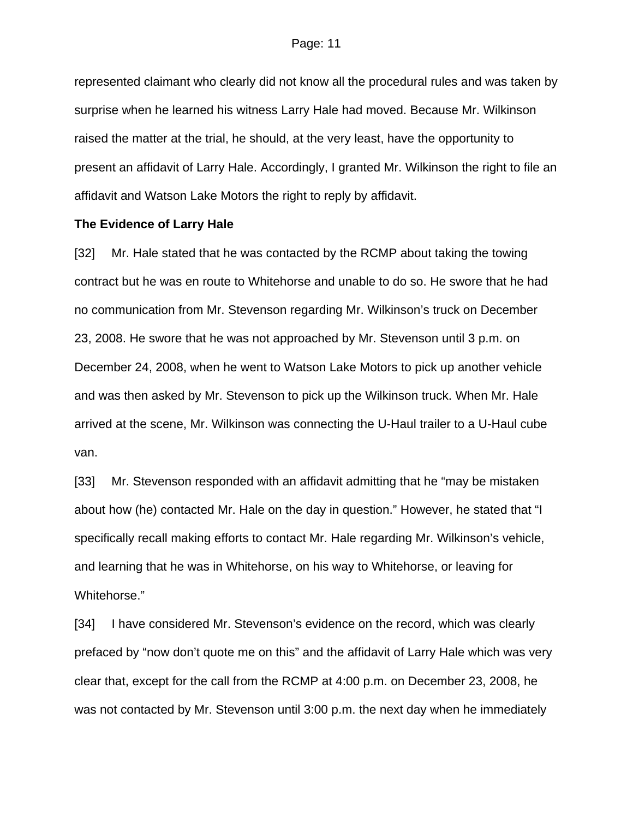represented claimant who clearly did not know all the procedural rules and was taken by surprise when he learned his witness Larry Hale had moved. Because Mr. Wilkinson raised the matter at the trial, he should, at the very least, have the opportunity to present an affidavit of Larry Hale. Accordingly, I granted Mr. Wilkinson the right to file an affidavit and Watson Lake Motors the right to reply by affidavit.

### **The Evidence of Larry Hale**

[32] Mr. Hale stated that he was contacted by the RCMP about taking the towing contract but he was en route to Whitehorse and unable to do so. He swore that he had no communication from Mr. Stevenson regarding Mr. Wilkinson's truck on December 23, 2008. He swore that he was not approached by Mr. Stevenson until 3 p.m. on December 24, 2008, when he went to Watson Lake Motors to pick up another vehicle and was then asked by Mr. Stevenson to pick up the Wilkinson truck. When Mr. Hale arrived at the scene, Mr. Wilkinson was connecting the U-Haul trailer to a U-Haul cube van.

[33] Mr. Stevenson responded with an affidavit admitting that he "may be mistaken about how (he) contacted Mr. Hale on the day in question." However, he stated that "I specifically recall making efforts to contact Mr. Hale regarding Mr. Wilkinson's vehicle, and learning that he was in Whitehorse, on his way to Whitehorse, or leaving for Whitehorse."

[34] I have considered Mr. Stevenson's evidence on the record, which was clearly prefaced by "now don't quote me on this" and the affidavit of Larry Hale which was very clear that, except for the call from the RCMP at 4:00 p.m. on December 23, 2008, he was not contacted by Mr. Stevenson until 3:00 p.m. the next day when he immediately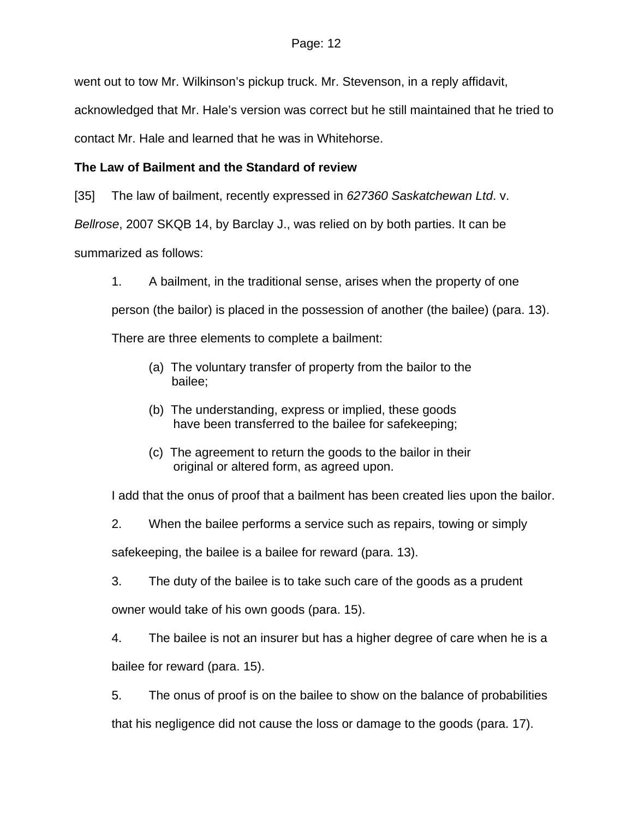went out to tow Mr. Wilkinson's pickup truck. Mr. Stevenson, in a reply affidavit,

acknowledged that Mr. Hale's version was correct but he still maintained that he tried to

contact Mr. Hale and learned that he was in Whitehorse.

# **The Law of Bailment and the Standard of review**

[35] The law of bailment, recently expressed in *627360 Saskatchewan Ltd*. v.

*Bellrose*, 2007 SKQB 14, by Barclay J., was relied on by both parties. It can be

summarized as follows:

1. A bailment, in the traditional sense, arises when the property of one

person (the bailor) is placed in the possession of another (the bailee) (para. 13).

There are three elements to complete a bailment:

- (a) The voluntary transfer of property from the bailor to the bailee;
- (b) The understanding, express or implied, these goods have been transferred to the bailee for safekeeping;
- (c) The agreement to return the goods to the bailor in their original or altered form, as agreed upon.

I add that the onus of proof that a bailment has been created lies upon the bailor.

2. When the bailee performs a service such as repairs, towing or simply

safekeeping, the bailee is a bailee for reward (para. 13).

3. The duty of the bailee is to take such care of the goods as a prudent owner would take of his own goods (para. 15).

4. The bailee is not an insurer but has a higher degree of care when he is a bailee for reward (para. 15).

5. The onus of proof is on the bailee to show on the balance of probabilities that his negligence did not cause the loss or damage to the goods (para. 17).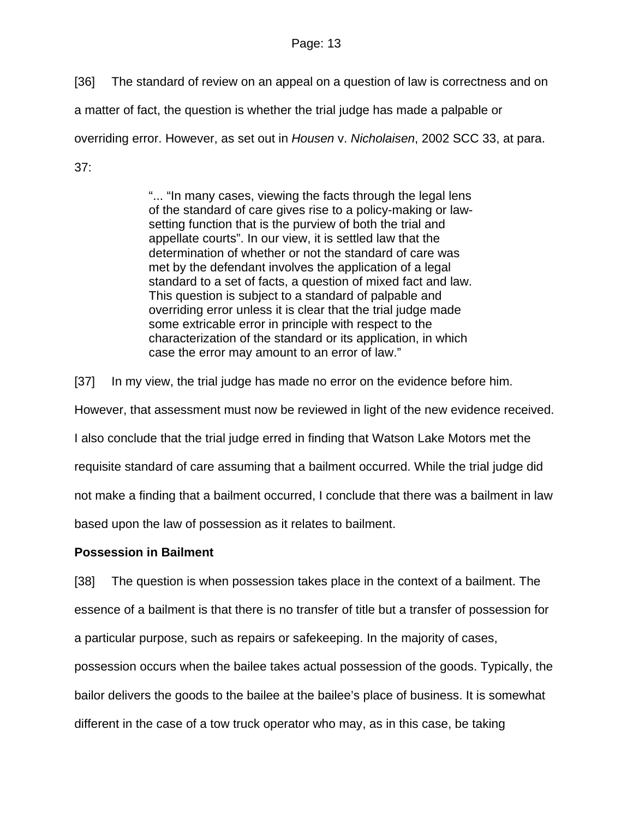[36] The standard of review on an appeal on a question of law is correctness and on

a matter of fact, the question is whether the trial judge has made a palpable or

overriding error. However, as set out in *Housen* v. *Nicholaisen*, 2002 SCC 33, at para.

37:

"... "In many cases, viewing the facts through the legal lens of the standard of care gives rise to a policy-making or lawsetting function that is the purview of both the trial and appellate courts". In our view, it is settled law that the determination of whether or not the standard of care was met by the defendant involves the application of a legal standard to a set of facts, a question of mixed fact and law. This question is subject to a standard of palpable and overriding error unless it is clear that the trial judge made some extricable error in principle with respect to the characterization of the standard or its application, in which case the error may amount to an error of law."

[37] In my view, the trial judge has made no error on the evidence before him.

However, that assessment must now be reviewed in light of the new evidence received.

I also conclude that the trial judge erred in finding that Watson Lake Motors met the

requisite standard of care assuming that a bailment occurred. While the trial judge did

not make a finding that a bailment occurred, I conclude that there was a bailment in law

based upon the law of possession as it relates to bailment.

## **Possession in Bailment**

[38] The question is when possession takes place in the context of a bailment. The essence of a bailment is that there is no transfer of title but a transfer of possession for a particular purpose, such as repairs or safekeeping. In the majority of cases,

possession occurs when the bailee takes actual possession of the goods. Typically, the bailor delivers the goods to the bailee at the bailee's place of business. It is somewhat different in the case of a tow truck operator who may, as in this case, be taking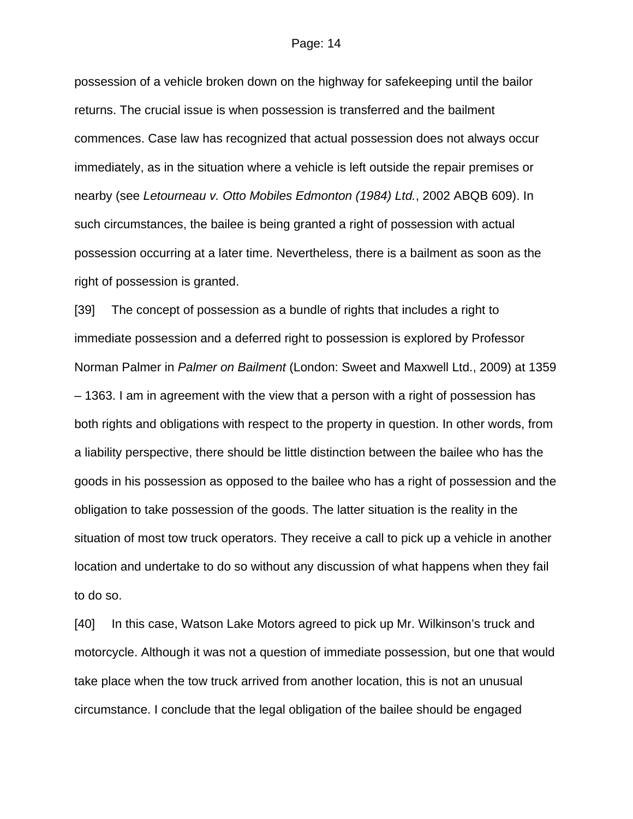#### Page: 14

possession of a vehicle broken down on the highway for safekeeping until the bailor returns. The crucial issue is when possession is transferred and the bailment commences. Case law has recognized that actual possession does not always occur immediately, as in the situation where a vehicle is left outside the repair premises or nearby (see *Letourneau v. Otto Mobiles Edmonton (1984) Ltd.*, 2002 ABQB 609). In such circumstances, the bailee is being granted a right of possession with actual possession occurring at a later time. Nevertheless, there is a bailment as soon as the right of possession is granted.

[39] The concept of possession as a bundle of rights that includes a right to immediate possession and a deferred right to possession is explored by Professor Norman Palmer in *Palmer on Bailment* (London: Sweet and Maxwell Ltd., 2009) at 1359 – 1363. I am in agreement with the view that a person with a right of possession has both rights and obligations with respect to the property in question. In other words, from a liability perspective, there should be little distinction between the bailee who has the goods in his possession as opposed to the bailee who has a right of possession and the obligation to take possession of the goods. The latter situation is the reality in the situation of most tow truck operators. They receive a call to pick up a vehicle in another location and undertake to do so without any discussion of what happens when they fail to do so.

[40] In this case, Watson Lake Motors agreed to pick up Mr. Wilkinson's truck and motorcycle. Although it was not a question of immediate possession, but one that would take place when the tow truck arrived from another location, this is not an unusual circumstance. I conclude that the legal obligation of the bailee should be engaged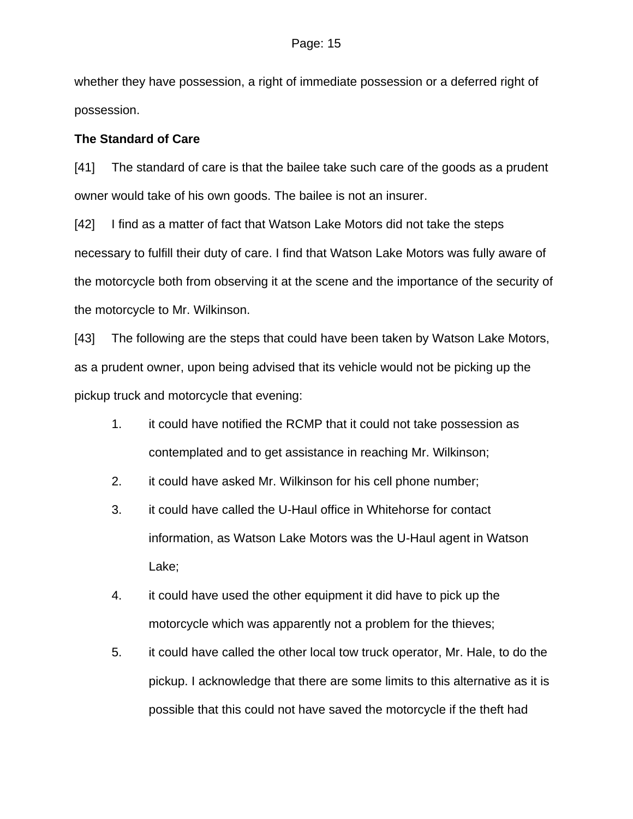whether they have possession, a right of immediate possession or a deferred right of possession.

## **The Standard of Care**

[41] The standard of care is that the bailee take such care of the goods as a prudent owner would take of his own goods. The bailee is not an insurer.

[42] I find as a matter of fact that Watson Lake Motors did not take the steps necessary to fulfill their duty of care. I find that Watson Lake Motors was fully aware of the motorcycle both from observing it at the scene and the importance of the security of the motorcycle to Mr. Wilkinson.

[43] The following are the steps that could have been taken by Watson Lake Motors, as a prudent owner, upon being advised that its vehicle would not be picking up the pickup truck and motorcycle that evening:

- 1. it could have notified the RCMP that it could not take possession as contemplated and to get assistance in reaching Mr. Wilkinson;
- 2. it could have asked Mr. Wilkinson for his cell phone number;
- 3. it could have called the U-Haul office in Whitehorse for contact information, as Watson Lake Motors was the U-Haul agent in Watson Lake;
- 4. it could have used the other equipment it did have to pick up the motorcycle which was apparently not a problem for the thieves;
- 5. it could have called the other local tow truck operator, Mr. Hale, to do the pickup. I acknowledge that there are some limits to this alternative as it is possible that this could not have saved the motorcycle if the theft had